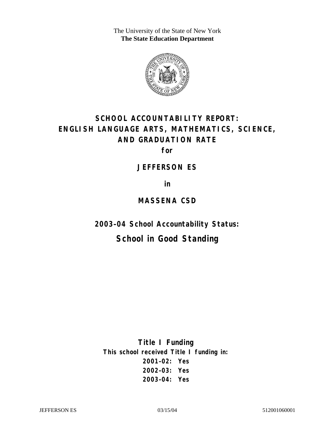The University of the State of New York **The State Education Department** 



# **SCHOOL ACCOUNTABILITY REPORT: ENGLISH LANGUAGE ARTS, MATHEMATICS, SCIENCE, AND GRADUATION RATE**

**for** 

#### **JEFFERSON ES**

**in** 

### **MASSENA CSD**

**2003–04 School Accountability Status:** 

# **School in Good Standing**

**Title I Funding This school received Title I funding in: 2001–02: Yes 2002–03: Yes 2003–04: Yes**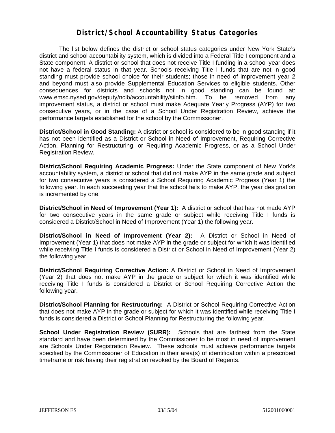### **District/School Accountability Status Categories**

The list below defines the district or school status categories under New York State's district and school accountability system, which is divided into a Federal Title I component and a State component. A district or school that does not receive Title I funding in a school year does not have a federal status in that year. Schools receiving Title I funds that are not in good standing must provide school choice for their students; those in need of improvement year 2 and beyond must also provide Supplemental Education Services to eligible students. Other consequences for districts and schools not in good standing can be found at: www.emsc.nysed.gov/deputy/nclb/accountability/siinfo.htm. To be removed from any improvement status, a district or school must make Adequate Yearly Progress (AYP) for two consecutive years, or in the case of a School Under Registration Review, achieve the performance targets established for the school by the Commissioner.

**District/School in Good Standing:** A district or school is considered to be in good standing if it has not been identified as a District or School in Need of Improvement, Requiring Corrective Action, Planning for Restructuring, or Requiring Academic Progress, or as a School Under Registration Review.

**District/School Requiring Academic Progress:** Under the State component of New York's accountability system, a district or school that did not make AYP in the same grade and subject for two consecutive years is considered a School Requiring Academic Progress (Year 1) the following year. In each succeeding year that the school fails to make AYP, the year designation is incremented by one.

**District/School in Need of Improvement (Year 1):** A district or school that has not made AYP for two consecutive years in the same grade or subject while receiving Title I funds is considered a District/School in Need of Improvement (Year 1) the following year.

**District/School in Need of Improvement (Year 2):** A District or School in Need of Improvement (Year 1) that does not make AYP in the grade or subject for which it was identified while receiving Title I funds is considered a District or School in Need of Improvement (Year 2) the following year.

**District/School Requiring Corrective Action:** A District or School in Need of Improvement (Year 2) that does not make AYP in the grade or subject for which it was identified while receiving Title I funds is considered a District or School Requiring Corrective Action the following year.

**District/School Planning for Restructuring:** A District or School Requiring Corrective Action that does not make AYP in the grade or subject for which it was identified while receiving Title I funds is considered a District or School Planning for Restructuring the following year.

**School Under Registration Review (SURR):** Schools that are farthest from the State standard and have been determined by the Commissioner to be most in need of improvement are Schools Under Registration Review. These schools must achieve performance targets specified by the Commissioner of Education in their area(s) of identification within a prescribed timeframe or risk having their registration revoked by the Board of Regents.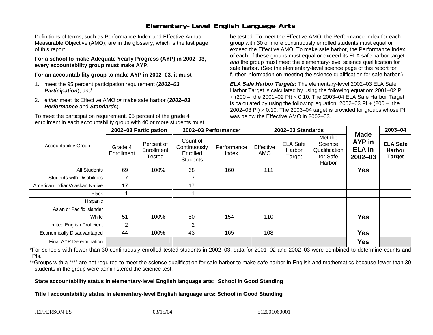# **Elementary-Level English Language Arts**

Definitions of terms, such as Performance Index and Effective Annual Measurable Objective (AMO), are in the glossary, which is the last page of this report.

**For a school to make Adequate Yearly Progress (AYP) in 2002–03, every accountability group must make AYP.** 

**For an accountability group to make AYP in 2002–03, it must** 

- 1. meet the 95 percent participation requirement (*2002–03 Participation*), *and*
- 2. *either* meet its Effective AMO *or* make safe harbor (*2002–03 Performance* and *Standards*).

To meet the participation requirement, 95 percent of the grade 4 enrollment in each accountability group with 40 or more students must

be tested. To meet the Effective AMO, the Performance Index for each group with 30 or more continuously enrolled students must equal or exceed the Effective AMO. To make safe harbor, the Performance Index of each of these groups must equal or exceed its ELA safe harbor target *and* the group must meet the elementary-level science qualification for safe harbor. (See the elementary-level science page of this report for further information on meeting the science qualification for safe harbor.)

*ELA Safe Harbor Targets:* The elementary-level 2002–03 ELA Safe Harbor Target is calculated by using the following equation: 2001–02 PI + (200 – the 2001–02 PI) <sup>×</sup> 0.10. The 2003–04 ELA Safe Harbor Target is calculated by using the following equation: 2002–03 PI + (200 – the 2002–03 PI)  $\times$  0.10. The 2003–04 target is provided for groups whose PI was below the Effective AMO in 2002–03.

| <b>Accountability Group</b>       | 2002-03 Participation |                                    | 2002-03 Performance*                                    |                      | 2002-03 Standards |                                     |                                                           |                                                              | 2003-04                                           |
|-----------------------------------|-----------------------|------------------------------------|---------------------------------------------------------|----------------------|-------------------|-------------------------------------|-----------------------------------------------------------|--------------------------------------------------------------|---------------------------------------------------|
|                                   | Grade 4<br>Enrollment | Percent of<br>Enrollment<br>Tested | Count of<br>Continuously<br>Enrolled<br><b>Students</b> | Performance<br>Index | Effective<br>AMO  | <b>ELA Safe</b><br>Harbor<br>Target | Met the<br>Science<br>Qualification<br>for Safe<br>Harbor | <b>Made</b><br><b>AYP</b> in<br><b>ELA</b> in<br>$2002 - 03$ | <b>ELA Safe</b><br><b>Harbor</b><br><b>Target</b> |
| All Students                      | 69                    | 100%                               | 68                                                      | 160                  | 111               |                                     |                                                           | <b>Yes</b>                                                   |                                                   |
| <b>Students with Disabilities</b> |                       |                                    |                                                         |                      |                   |                                     |                                                           |                                                              |                                                   |
| American Indian/Alaskan Native    | 17                    |                                    | 17                                                      |                      |                   |                                     |                                                           |                                                              |                                                   |
| <b>Black</b>                      |                       |                                    |                                                         |                      |                   |                                     |                                                           |                                                              |                                                   |
| Hispanic                          |                       |                                    |                                                         |                      |                   |                                     |                                                           |                                                              |                                                   |
| Asian or Pacific Islander         |                       |                                    |                                                         |                      |                   |                                     |                                                           |                                                              |                                                   |
| White                             | 51                    | 100%                               | 50                                                      | 154                  | 110               |                                     |                                                           | <b>Yes</b>                                                   |                                                   |
| Limited English Proficient        | $\overline{2}$        |                                    | $\overline{2}$                                          |                      |                   |                                     |                                                           |                                                              |                                                   |
| Economically Disadvantaged        | 44                    | 100%                               | 43                                                      | 165                  | 108               |                                     |                                                           | <b>Yes</b>                                                   |                                                   |
| <b>Final AYP Determination</b>    |                       |                                    |                                                         |                      |                   |                                     |                                                           | <b>Yes</b>                                                   |                                                   |

\*For schools with fewer than 30 continuously enrolled tested students in 2002–03, data for 2001–02 and 2002–03 were combined to determine counts and PIs.

\*\*Groups with a "\*\*" are not required to meet the science qualification for safe harbor to make safe harbor in English and mathematics because fewer than 30 students in the group were administered the science test.

**State accountability status in elementary-level English language arts: School in Good Standing** 

Title I accountability status in elementary-level English language arts: School in Good Standing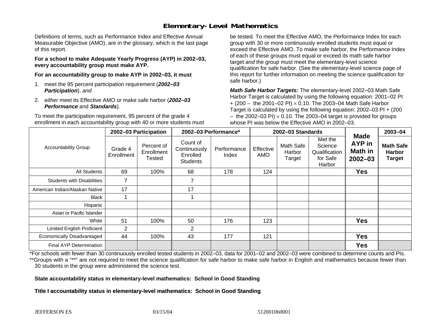# **Elementary-Level Mathematics**

Definitions of terms, such as Performance Index and Effective Annual Measurable Objective (AMO), are in the glossary, which is the last page of this report.

**For a school to make Adequate Yearly Progress (AYP) in 2002–03, every accountability group must make AYP.** 

**For an accountability group to make AYP in 2002–03, it must** 

- 1. meet the 95 percent participation requirement (*2002–03 Participation*), *and*
- 2. *either* meet its Effective AMO *or* make safe harbor (*2002–03 Performance* and *Standards*).

To meet the participation requirement, 95 percent of the grade 4 enrollment in each accountability group with 40 or more students must

be tested. To meet the Effective AMO, the Performance Index for each group with 30 or more continuously enrolled students must equal or exceed the Effective AMO. To make safe harbor, the Performance Index of each of these groups must equal or exceed its math safe harbor target *and* the group must meet the elementary-level science qualification for safe harbor. (See the elementary-level science page of this report for further information on meeting the science qualification for safe harbor.)

*Math Safe Harbor Targets:* The elementary-level 2002–03 Math Safe Harbor Target is calculated by using the following equation: 2001–02 PI + (200 – the 2001–02 PI) × 0.10. The 2003–04 Math Safe Harbor Target is calculated by using the following equation: 2002–03 PI + (200  $-$  the 2002–03 PI)  $\times$  0.10. The 2003–04 target is provided for groups whose PI was below the Effective AMO in 2002–03.

| <b>Accountability Group</b>       | 2002-03 Participation |                                    | 2002-03 Performance*                                    |                      | 2002-03 Standards       |                               |                                                           |                                                               | 2003-04                                            |
|-----------------------------------|-----------------------|------------------------------------|---------------------------------------------------------|----------------------|-------------------------|-------------------------------|-----------------------------------------------------------|---------------------------------------------------------------|----------------------------------------------------|
|                                   | Grade 4<br>Enrollment | Percent of<br>Enrollment<br>Tested | Count of<br>Continuously<br>Enrolled<br><b>Students</b> | Performance<br>Index | Effective<br><b>AMO</b> | Math Safe<br>Harbor<br>Target | Met the<br>Science<br>Qualification<br>for Safe<br>Harbor | <b>Made</b><br><b>AYP</b> in<br><b>Math in</b><br>$2002 - 03$ | <b>Math Safe</b><br><b>Harbor</b><br><b>Target</b> |
| All Students                      | 69                    | 100%                               | 68                                                      | 178                  | 124                     |                               |                                                           | <b>Yes</b>                                                    |                                                    |
| <b>Students with Disabilities</b> | $\overline{7}$        |                                    | $\overline{7}$                                          |                      |                         |                               |                                                           |                                                               |                                                    |
| American Indian/Alaskan Native    | 17                    |                                    | 17                                                      |                      |                         |                               |                                                           |                                                               |                                                    |
| <b>Black</b>                      |                       |                                    |                                                         |                      |                         |                               |                                                           |                                                               |                                                    |
| Hispanic                          |                       |                                    |                                                         |                      |                         |                               |                                                           |                                                               |                                                    |
| Asian or Pacific Islander         |                       |                                    |                                                         |                      |                         |                               |                                                           |                                                               |                                                    |
| White                             | 51                    | 100%                               | 50                                                      | 176                  | 123                     |                               |                                                           | <b>Yes</b>                                                    |                                                    |
| <b>Limited English Proficient</b> | 2                     |                                    | 2                                                       |                      |                         |                               |                                                           |                                                               |                                                    |
| Economically Disadvantaged        | 44                    | 100%                               | 43                                                      | 177                  | 121                     |                               |                                                           | <b>Yes</b>                                                    |                                                    |
| <b>Final AYP Determination</b>    |                       |                                    |                                                         |                      |                         |                               |                                                           | <b>Yes</b>                                                    |                                                    |

\*For schools with fewer than 30 continuously enrolled tested students in 2002–03, data for 2001–02 and 2002–03 were combined to determine counts and PIs. \*\*Groups with a "\*\*" are not required to meet the science qualification for safe harbor to make safe harbor in English and mathematics because fewer than 30 students in the group were administered the science test.

**State accountability status in elementary-level mathematics: School in Good Standing** 

Title I accountability status in elementary-level mathematics: School in Good Standing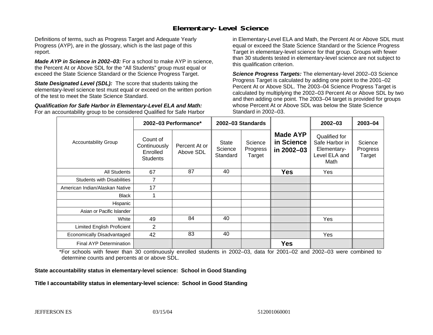## **Elementary-Level Science**

Definitions of terms, such as Progress Target and Adequate Yearly Progress (AYP), are in the glossary, which is the last page of this report.

*Made AYP in Science in 2002–03:* For a school to make AYP in science, the Percent At or Above SDL for the "All Students" group must equal or exceed the State Science Standard or the Science Progress Target.

**State Designated Level (SDL):** The score that students taking the elementary-level science test must equal or exceed on the written portion of the test to meet the State Science Standard.

*Qualification for Safe Harbor in Elementary-Level ELA and Math:* For an accountability group to be considered Qualified for Safe Harbor in Elementary-Level ELA and Math, the Percent At or Above SDL must equal or exceed the State Science Standard or the Science Progress Target in elementary-level science for that group. Groups with fewer than 30 students tested in elementary-level science are not subject to this qualification criterion.

*Science Progress Targets:* The elementary-level 2002–03 Science Progress Target is calculated by adding one point to the 2001–02 Percent At or Above SDL. The 2003–04 Science Progress Target is calculated by multiplying the 2002–03 Percent At or Above SDL by two and then adding one point. The 2003–04 target is provided for groups whose Percent At or Above SDL was below the State Science Standard in 2002–03.

|                                   |                                                         | 2002-03 Performance*       | 2002-03 Standards            |                               |                                             | $2002 - 03$                                                             | 2003-04                       |
|-----------------------------------|---------------------------------------------------------|----------------------------|------------------------------|-------------------------------|---------------------------------------------|-------------------------------------------------------------------------|-------------------------------|
| <b>Accountability Group</b>       | Count of<br>Continuously<br>Enrolled<br><b>Students</b> | Percent At or<br>Above SDL | State<br>Science<br>Standard | Science<br>Progress<br>Target | <b>Made AYP</b><br>in Science<br>in 2002-03 | Qualified for<br>Safe Harbor in<br>Elementary-<br>Level ELA and<br>Math | Science<br>Progress<br>Target |
| All Students                      | 67                                                      | 87                         | 40                           |                               | <b>Yes</b>                                  | Yes                                                                     |                               |
| <b>Students with Disabilities</b> | 7                                                       |                            |                              |                               |                                             |                                                                         |                               |
| American Indian/Alaskan Native    | 17                                                      |                            |                              |                               |                                             |                                                                         |                               |
| <b>Black</b>                      |                                                         |                            |                              |                               |                                             |                                                                         |                               |
| Hispanic                          |                                                         |                            |                              |                               |                                             |                                                                         |                               |
| Asian or Pacific Islander         |                                                         |                            |                              |                               |                                             |                                                                         |                               |
| White                             | 49                                                      | 84                         | 40                           |                               |                                             | <b>Yes</b>                                                              |                               |
| Limited English Proficient        | 2                                                       |                            |                              |                               |                                             |                                                                         |                               |
| Economically Disadvantaged        | 42                                                      | 83                         | 40                           |                               |                                             | Yes                                                                     |                               |
| <b>Final AYP Determination</b>    |                                                         |                            |                              |                               | <b>Yes</b>                                  |                                                                         |                               |

\*For schools with fewer than 30 continuously enrolled students in 2002–03, data for 2001–02 and 2002–03 were combined to determine counts and percents at or above SDL.

#### **State accountability status in elementary-level science: School in Good Standing**

#### Title I accountability status in elementary-level science: School in Good Standing